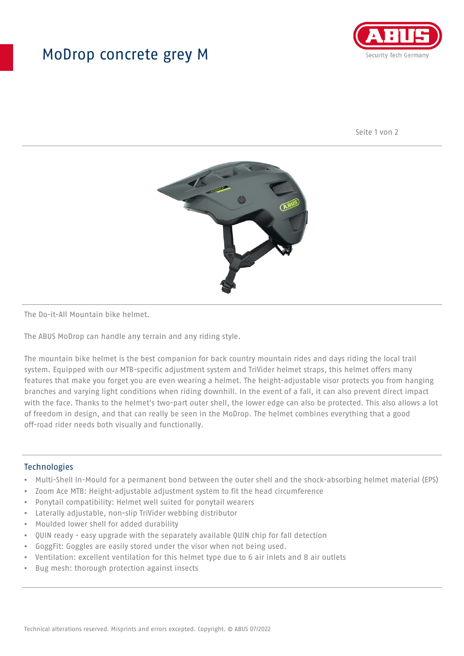## MoDrop concrete grey M



Seite 1 von 2



The Do-it-All Mountain bike helmet.

The ABUS MoDrop can handle any terrain and any riding style.

The mountain bike helmet is the best companion for back country mountain rides and days riding the local trail system. Equipped with our MTB-specific adjustment system and TriVider helmet straps, this helmet offers many features that make you forget you are even wearing a helmet. The height-adjustable visor protects you from hanging branches and varying light conditions when riding downhill. In the event of a fall, it can also prevent direct impact with the face. Thanks to the helmet's two-part outer shell, the lower edge can also be protected. This also allows a lot of freedom in design, and that can really be seen in the MoDrop. The helmet combines everything that a good off-road rider needs both visually and functionally.

## Technologies

- Multi-Shell In-Mould for a permanent bond between the outer shell and the shock-absorbing helmet material (EPS)
- Zoom Ace MTB: Height-adjustable adjustment system to fit the head circumference
- Ponytail compatibility: Helmet well suited for ponytail wearers
- Laterally adjustable, non-slip TriVider webbing distributor
- Moulded lower shell for added durability
- QUIN ready easy upgrade with the separately available QUIN chip for fall detection
- GoggFit: Goggles are easily stored under the visor when not being used.
- Ventilation: excellent ventilation for this helmet type due to 6 air inlets and 8 air outlets
- Bug mesh: thorough protection against insects